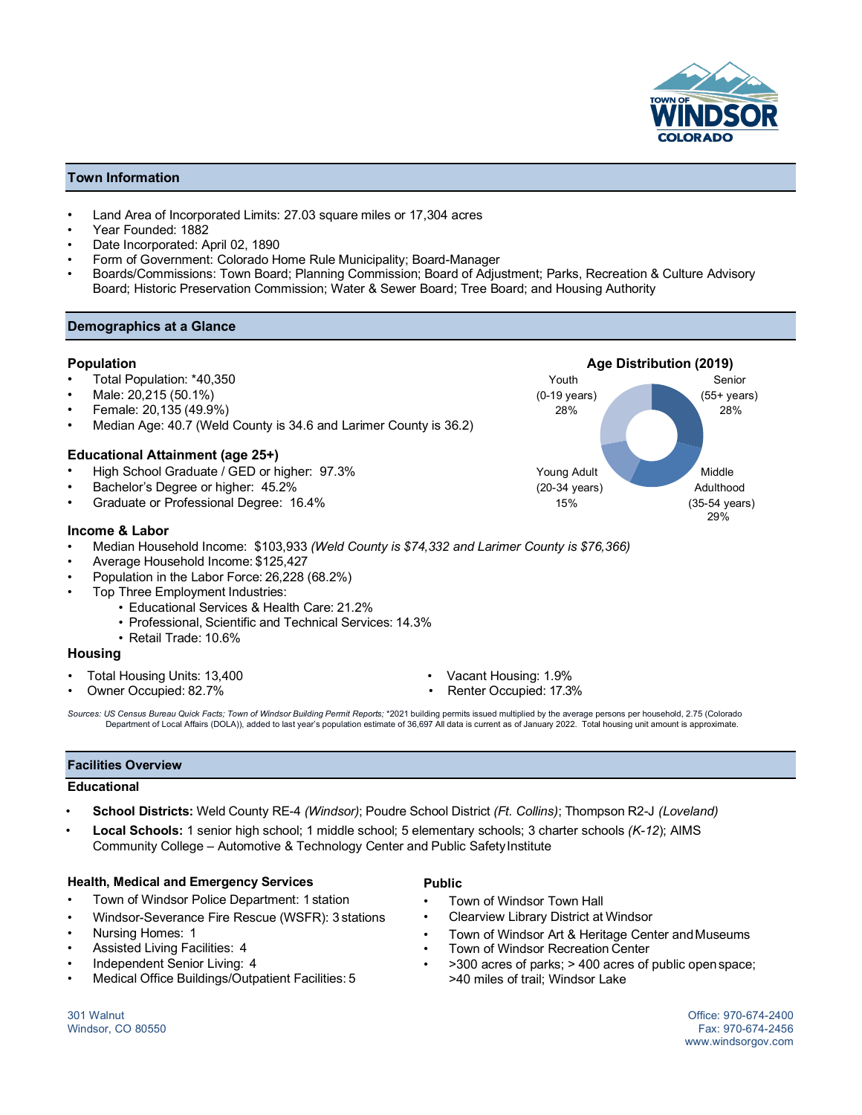

# **Town Information**

- Land Area of Incorporated Limits: 27.03 square miles or 17,304 acres
- Year Founded: 1882
- Date Incorporated: April 02, 1890
- Form of Government: Colorado Home Rule Municipality; Board-Manager
- Boards/Commissions: Town Board; Planning Commission; Board of Adjustment; Parks, Recreation & Culture Advisory Board; Historic Preservation Commission; Water & Sewer Board; Tree Board; and Housing Authority

## **Demographics at a Glance**

- 
- 
- 
- Median Age: 40.7 (Weld County is 34.6 and Larimer County is 36.2)

## **Educational Attainment (age 25+)**

- High School Graduate / GED or higher: 97.3% Young Adult Middle
- 
- 

## **Income & Labor**

- Median Household Income: \$103,933 *(Weld County is \$74,332 and Larimer County is \$76,366)*
- Average Household Income: \$125,427
- Population in the Labor Force: 26,228 (68.2%)
- Top Three Employment Industries:
	- Educational Services & Health Care: 21.2%
	- Professional, Scientific and Technical Services: 14.3%
	- Retail Trade: 10.6%

## **Housing**

- Total Housing Units: 13,400 Vacant Housing: 1.9%
- 
- 
- Owner Occupied: 82.7% Renter Occupied: 17.3%

*Sources: US Census Bureau Quick Facts; Town of Windsor Building Permit Reports;* \*2021 building permits issued multiplied by the average persons per household, 2.75 (Colorado Department of Local Affairs (DOLA)), added to last year's population estimate of 36,697 All data is current as of January 2022. Total housing unit amount is approximate.

## **Facilities Overview**

## **Educational**

- **School Districts:** Weld County RE-4 *(Windsor)*; Poudre School District *(Ft. Collins)*; Thompson R2-J *(Loveland)*
- **Local Schools:** 1 senior high school; 1 middle school; 5 elementary schools; 3 charter schools *(K-12*); AIMS Community College – Automotive & Technology Center and Public Safety Institute

## **Health, Medical and Emergency Services**

- Town of Windsor Police Department: 1 station
- Windsor-Severance Fire Rescue (WSFR): 3 stations
- Nursing Homes: 1
- Assisted Living Facilities: 4
- Independent Senior Living: 4
- Medical Office Buildings/Outpatient Facilities: 5
- **Public**
- Town of Windsor Town Hall
- Clearview Library District at Windsor
- Town of Windsor Art & Heritage Center and Museums
- Town of Windsor Recreation Center
- >300 acres of parks; > 400 acres of public openspace; >40 miles of trail; Windsor Lake

301 Walnut Office: 970-674-2400 Windsor, CO 80550